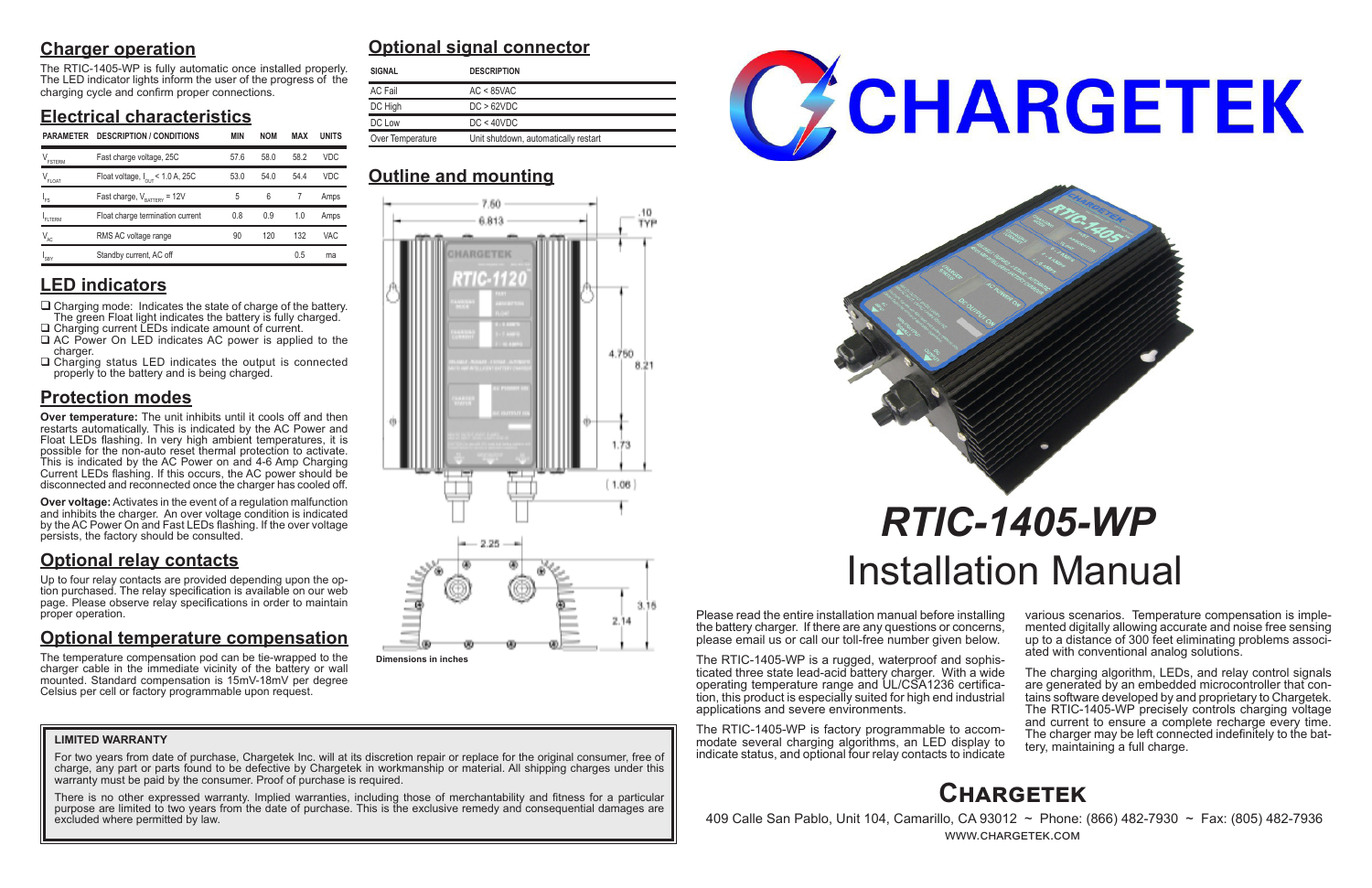# **Charger operation**

The RTIC-1405-WP is fully automatic once installed properly. The LED indicator lights inform the user of the progress of the charging cycle and confirm proper connections.

# **Electrical characteristics**

# **LED indicators**

- $\Box$  Charging mode: Indicates the state of charge of the battery. The green Float light indicates the battery is fully charged. □ Charging current LEDs indicate amount of current.
- □ AC Power On LED indicates AC power is applied to the charger.
- $\Box$  Charging status LED indicates the output is connected properly to the battery and is being charged.

# **Protection modes**

**Over temperature:** The unit inhibits until it cools off and then restarts automatically. This is indicated by the AC Power and Float LEDs flashing. In very high ambient temperatures, it is possible for the non-auto reset thermal protection to activate. This is indicated by the AC Power on and 4-6 Amp Charging Current LEDs flashing. If this occurs, the AC power should be disconnected and reconnected once the charger has cooled off.

**Over voltage:** Activates in the event of a regulation malfunction and inhibits the charger. An over voltage condition is indicated by the AC Power On and Fast LEDs flashing. If the over voltage persists, the factory should be consulted.

# **Optional relay contacts**

Up to four relay contacts are provided depending upon the option purchased. The relay specification is available on our web page. Please observe relay specifications in order to maintain proper operation.

> The charging algorithm, LEDs, and relay control signals are generated by an embedded microcontroller that contains software developed by and proprietary to Chargetek. The RTIC-1405-WP precisely controls charging voltage and current to ensure a complete recharge every time. The charger may be left connected indefinitely to the bat- tery, maintaining a full charge.

# **Optional temperature compensation**

For two years from date of purchase, Chargetek Inc. will at its discretion repair or replace for the original consumer, free of charge, any part or parts found to be defective by Chargetek in workmanship or material. All shipping charges under this warranty must be paid by the consumer. Proof of purchase is required.

The temperature compensation pod can be tie-wrapped to the charger cable in the immediate vicinity of the battery or wall mounted. Standard compensation is 15mV-18mV per degree Celsius per cell or factory programmable upon request.

Please read the entire installation manual before installing the battery charger. If there are any questions or concerns, please email us or call our toll-free number given below.

The RTIC-1405-WP is a rugged, waterproof and sophisticated three state lead-acid battery charger. With a wide tion, this product is especially suited for high end industrial applications and severe environments.

The RTIC-1405-WP is factory programmable to accommodate several charging algorithms, an LED display to indicate status, and optional four relay contacts to indicate various scenarios. Temperature compensation is imple- mented digitally allowing accurate and noise free sensing up to a distance of 300 feet eliminating problems associ- ated with conventional analog solutions.

# *RTIC-1405-WP* Installation Manual

# **Optional signal connector**

# **Outline and mounting**

# **Chargetek**

 409 Calle San Pablo, Unit 104, Camarillo, CA 93012 ~ Phone: (866) 482-7930 ~ Fax: (805) 482-7936 www.chargetek.com

## **LIMITED WARRANTY**

There is no other expressed warranty. Implied warranties, including those of merchantability and fitness for a particular purpose are limited to two years from the date of purchase. This is the exclusive remedy and consequential damages are excluded where permitted by law.



| <b>SIGNAL</b>    | <b>DESCRIPTION</b>                   |  |  |
|------------------|--------------------------------------|--|--|
| <b>AC Fail</b>   | $AC < 85$ VAC                        |  |  |
| DC High          | DC > 62VDC                           |  |  |
| DC Low           | DC < 40VDC                           |  |  |
| Over Temperature | Unit shutdown, automatically restart |  |  |

| <b>PARAMETER</b>              | <b>DESCRIPTION / CONDITIONS</b>              | <b>MIN</b> | <b>NOM</b> | <b>MAX</b> | <b>UNITS</b> | Over Temperature<br>Unit shutdown, automatically restart |  |  |
|-------------------------------|----------------------------------------------|------------|------------|------------|--------------|----------------------------------------------------------|--|--|
| $V_{\texttt{\tiny FSTERM}}$   | Fast charge voltage, 25C                     | 57.6       | 58.0       | 58.2       | VDC.         |                                                          |  |  |
| $\mathsf{V}_{\mathsf{FLOAT}}$ | Float voltage, $I_{\text{OUT}}$ < 1.0 A, 25C | 53.0       | 54.0       | 54.4       | <b>VDC</b>   | <b>Outline and mounting</b>                              |  |  |
| 'FS                           | Fast charge, $V_{\text{raffry}} = 12V$       | 5          | 6          |            | Amps         | 7.50.                                                    |  |  |
| FLTERM                        | Float charge termination current             | 0.8        | 0.9        | 1.0        | Amps         | 6.813                                                    |  |  |
| $V_{AC}$                      | RMS AC voltage range                         | 90         | 120        | 132        | <b>VAC</b>   |                                                          |  |  |
| $I_{SBY}$                     | Standby current, AC off                      |            |            | 0.5        | ma           | _________                                                |  |  |



**Dimensions in inches**